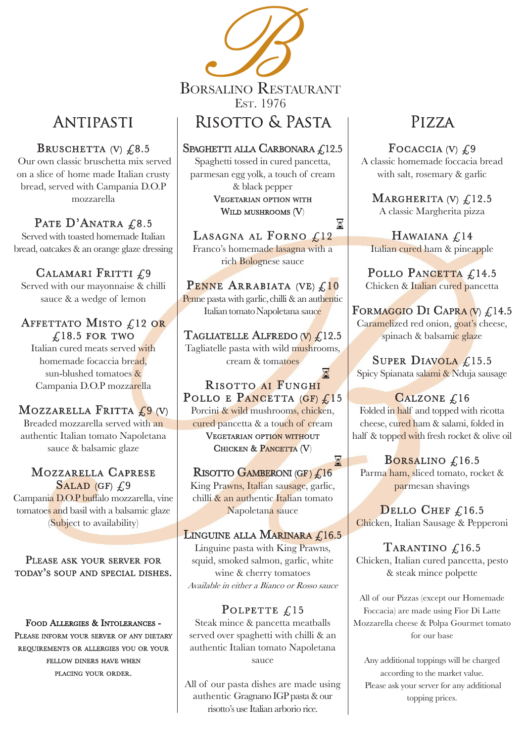

# Antipasti

# BRUSCHETTA (V)  $\&8.5$

Our own classic bruschetta mix served on a slice of home made Italian crusty bread, served with Campania D.O.P mozzarella

PATE D'ANATRA £8.5 Served with toasted homemade Italian bread, oatcakes & an orange glaze dressing

CALAMARI FRITTI  $\mathcal{L}9$ Served with our mayonnaise & chilli sauce & a wedge of lemon

# AFFETTATO MISTO  $\text{\large\it \pounds}12$  or  $\text{\large\it \pounds}18.5$  for two

Italian cured meats served with homemade focaccia bread, sun-blushed tomatoes & Campania D.O.P mozzarella

# MOZZARELLA FRITTA  $f_2(0)$

Spaghetti tossed in cured pancetta, parmesan egg yolk, a touch of cream & black pepper VEGETARIAN OPTION WITH WILD MUSHROOMS  $(V)$ 

Breaded mozzarella served with an authentic Italian tomato Napoletana sauce & balsamic glaze

### MOZZARELLA CAPRESE SALAD (GF)  $f$ .9

Campania D.O.P buffalo mozzarella, vine tomatoes and basil with a balsamic glaze (Subject to availability)

 $\boxtimes$ LASAGNA AL FORNO  $\mathcal{L}^{12}$ Franco's homemade lasagna with a rich Bolognese sauce

PENNE ARRABIATA (VE)  $\mathcal{L}$ 10 Penne pasta with garlic, chilli & an authentic Italian tomato Napoletana sauce

TAGLIATELLE ALFREDO (V)  $\mathcal{L}$ 12.5 Tagliatelle pasta with wild mushrooms, cream & tomatoes

### X RISOTTO AI FUNGHI<br>POLLO E PANCETTA (GF) £15 Porcini & wild mushrooms, chicken, cured pancetta & a touch of cream VEGETARIAN OPTION WITHOUT CHICKEN & PANCETTA (V)

X RISOTTO GAMBERONI (GF)  $\mathcal{L}16$ King Prawns, Italian sausage, garlic, chilli & an authentic Italian tomato Napoletana sauce

LINGUINE ALLA MARINARA  $\mathcal{L}$ 16.5

# Risotto & Pasta

### SPAGHETTI ALLA CARBONARA  $£12.5$

A classic homemade foccacia bread with salt, rosemary  $\&$  garlic

### MARGHERITA (V)  $\mathcal{L}$ 12.5 A classic Margherita pizza

HAWAIANA  $\mathcal{L}$ 14 Italian cured ham & pineapple

POLLO PANCETTA £14.5 Chicken & Italian cured pancetta

FORMAGGIO DI CAPRA (V)  $\mathcal{L}$ 14.5 Caramelized red onion, goat's cheese, spinach & balsamic glaze

SUPER DIAVOLA  $\mathcal{L}$ 15.5 Spicy Spianata salami & Nduja sausage

# CALZONE £16

Folded in half and topped with ricotta cheese, cured ham & salami, folded in half & topped with fresh rocket & olive oil

BORSALINO  $\mathcal{L}$ 16.5 Parma ham, sliced tomato, rocket & parmesan shavings

DELLO CHEF  $£16.5$ Chicken, Italian Sausage & Pepperoni

TARANTINO £16.5 Chicken, Italian cured pancetta, pesto & steak mince polpette

#### PLEASE ASK YOUR SERVER FOR TODAY'S SOUP AND SPECIAL DISHES.

### FOOD ALLERGIES & INTOLERANCES -PLEASE INFORM YOUR SERVER OF ANY DIETARY requirements requirements or allerggies you or your FELLOW DINERS HAVE WHEN

PLACING YOUR ORDER.

Linguine pasta with King Prawns, squid, smoked salmon, garlic, white

wine & cherry tomatoes Available in either a Bianco or Rosso sauce

### POLPETTE  $£15$

Steak mince & pancetta meatballs served over spaghetti with chilli & an authentic Italian tomato Napoletana sauce

All of our pasta dishes are made using authentic Gragnano IGP pasta & our risotto's use Italian arborio rice.

# Pizza

# FOCACCIA (V)  $\mathcal{L}9$

All of our Pizzas (except our Homemade Foccacia) are made using Fior Di Latte Mozzarella cheese & Polpa Gourmet tomato for our base

Any additional toppings will be charged according to the market value. Please ask your server for any additional topping prices.